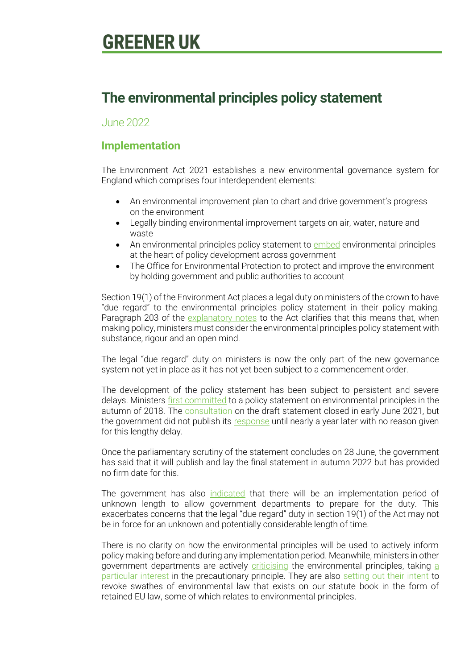# **The environmental principles policy statement**

June 2022

# **Implementation**

The Environment Act 2021 establishes a new environmental governance system for England which comprises four interdependent elements:

- An environmental improvement plan to chart and drive government's progress on the environment
- Legally binding environmental improvement targets on air, water, nature and waste
- An environmental principles policy statement to [embed](https://hansard.parliament.uk/lords/2021-06-28/debates/2C0B4BE5-7D7A-4A85-8698-2EAEDD5388F4/EnvironmentBill#contribution-8C0D8421-32D5-4D6F-91C1-3DF1E0C6693A) environmental principles at the heart of policy development across government
- The Office for Environmental Protection to protect and improve the environment by holding government and public authorities to account

Section 19(1) of the Environment Act places a legal duty on ministers of the crown to have "due regard" to the environmental principles policy statement in their policy making. Paragraph 203 of the [explanatory notes](https://www.legislation.gov.uk/ukpga/2021/30/notes/division/6/index.htm) to the Act clarifies that this means that, when making policy, ministers must consider the environmental principles policy statement with substance, rigour and an open mind.

The legal "due regard" duty on ministers is now the only part of the new governance system not yet in place as it has not yet been subject to a commencement order.

The development of the policy statement has been subject to persistent and severe delays. Ministers [first committed](https://questions-statements.parliament.uk/written-questions/detail/2018-11-14/191300) to a policy statement on environmental principles in the autumn of 2018. The **consultation** on the draft statement closed in early June 2021, but the government did not publish its [response](https://www.gov.uk/government/consultations/environmental-principles-draft-policy-statement/outcome/summary-of-responses-and-government-response) until nearly a year later with no reason given for this lengthy delay.

Once the parliamentary scrutiny of the statement concludes on 28 June, the government has said that it will publish and lay the final statement in autumn 2022 but has provided no firm date for this.

The government has also [indicated](https://questions-statements.parliament.uk/written-questions/detail/2022-02-07/HL6042) that there will be an implementation period of unknown length to allow government departments to prepare for the duty. This exacerbates concerns that the legal "due regard" duty in section 19(1) of the Act may not be in force for an unknown and potentially considerable length of time.

There is no clarity on how the environmental principles will be used to actively inform policy making before and during any implementation period. Meanwhile, ministers in other government departments are actively [criticising](https://www.endsreport.com/article/1753852/rees-mogg-mocks-precautionary-principle) the environmental principles, taking [a](https://www.endsreport.com/article/1788394/precautionary-principle-rees-mogg-list-top-ideas-axe-eu-rules)  [particular interest](https://www.endsreport.com/article/1788394/precautionary-principle-rees-mogg-list-top-ideas-axe-eu-rules) in the precautionary principle. They are also [setting out their intent](https://www.independent.co.uk/news/uk/politics/brexit-rees-mogg-vacuum-cleaners-b2091362.html) to revoke swathes of environmental law that exists on our statute book in the form of retained EU law, some of which relates to environmental principles.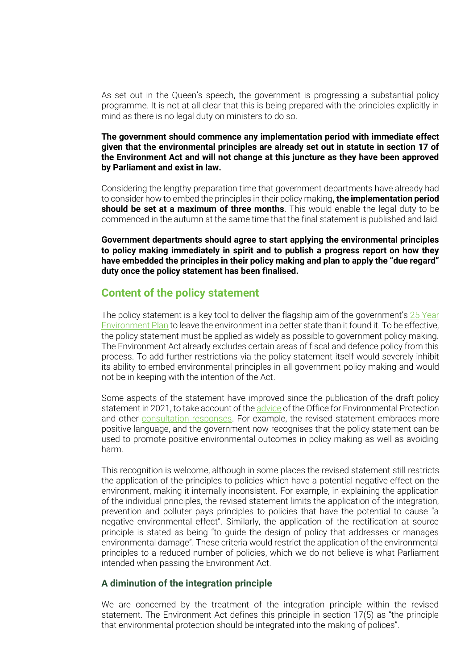As set out in the Queen's speech, the government is progressing a substantial policy programme. It is not at all clear that this is being prepared with the principles explicitly in mind as there is no legal duty on ministers to do so.

#### **The government should commence any implementation period with immediate effect given that the environmental principles are already set out in statute in section 17 of the Environment Act and will not change at this juncture as they have been approved by Parliament and exist in law.**

Considering the lengthy preparation time that government departments have already had to consider how to embed the principles in their policy making**, the implementation period should be set at a maximum of three months**. This would enable the legal duty to be commenced in the autumn at the same time that the final statement is published and laid.

**Government departments should agree to start applying the environmental principles to policy making immediately in spirit and to publish a progress report on how they have embedded the principles in their policy making and plan to apply the "due regard" duty once the policy statement has been finalised.**

# **Content of the policy statement**

The policy statement is a key tool to deliver the flagship aim of the government's  $25$  Year [Environment Plan](https://assets.publishing.service.gov.uk/government/uploads/system/uploads/attachment_data/file/693158/25-year-environment-plan.pdf) to leave the environment in a better state than it found it. To be effective, the policy statement must be applied as widely as possible to government policy making. The Environment Act already excludes certain areas of fiscal and defence policy from this process. To add further restrictions via the policy statement itself would severely inhibit its ability to embed environmental principles in all government policy making and would not be in keeping with the intention of the Act.

Some aspects of the statement have improved since the publication of the draft policy statement in 2021, to take account of th[e advice](https://www.theoep.org.uk/report/advice-draft-environmental-principles-policy-statement) of the Office for Environmental Protection and other [consultation responses.](https://greeneruk.org/sites/default/files/download/2021-06/Greener_UK_WCL_response_to_draft_environmental_principles_policy_statement_consultation.pdf) For example, the revised statement embraces more positive language, and the government now recognises that the policy statement can be used to promote positive environmental outcomes in policy making as well as avoiding harm.

This recognition is welcome, although in some places the revised statement still restricts the application of the principles to policies which have a potential negative effect on the environment, making it internally inconsistent. For example, in explaining the application of the individual principles, the revised statement limits the application of the integration, prevention and polluter pays principles to policies that have the potential to cause "a negative environmental effect". Similarly, the application of the rectification at source principle is stated as being "to guide the design of policy that addresses or manages environmental damage". These criteria would restrict the application of the environmental principles to a reduced number of policies, which we do not believe is what Parliament intended when passing the Environment Act.

### **A diminution of the integration principle**

We are concerned by the treatment of the integration principle within the revised statement. The Environment Act defines this principle in section 17(5) as "the principle that environmental protection should be integrated into the making of polices".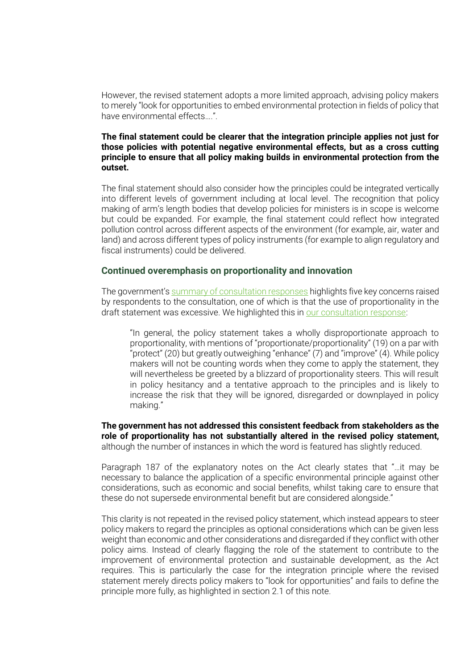However, the revised statement adopts a more limited approach, advising policy makers to merely "look for opportunities to embed environmental protection in fields of policy that have environmental effects….".

#### **The final statement could be clearer that the integration principle applies not just for those policies with potential negative environmental effects, but as a cross cutting principle to ensure that all policy making builds in environmental protection from the outset.**

The final statement should also consider how the principles could be integrated vertically into different levels of government including at local level. The recognition that policy making of arm's length bodies that develop policies for ministers is in scope is welcome but could be expanded. For example, the final statement could reflect how integrated pollution control across different aspects of the environment (for example, air, water and land) and across different types of policy instruments (for example to align regulatory and fiscal instruments) could be delivered.

#### **Continued overemphasis on proportionality and innovation**

The government's [summary of consultation responses](https://www.gov.uk/government/consultations/environmental-principles-draft-policy-statement/outcome/summary-of-responses-and-government-response) highlights five key concerns raised by respondents to the consultation, one of which is that the use of proportionality in the draft statement was excessive. We highlighted this in [our consultation response:](https://greeneruk.org/sites/default/files/download/2021-06/Greener_UK_WCL_response_to_draft_environmental_principles_policy_statement_consultation.pdf)

"In general, the policy statement takes a wholly disproportionate approach to proportionality, with mentions of "proportionate/proportionality" (19) on a par with "protect" (20) but greatly outweighing "enhance" (7) and "improve" (4). While policy makers will not be counting words when they come to apply the statement, they will nevertheless be greeted by a blizzard of proportionality steers. This will result in policy hesitancy and a tentative approach to the principles and is likely to increase the risk that they will be ignored, disregarded or downplayed in policy making."

**The government has not addressed this consistent feedback from stakeholders as the role of proportionality has not substantially altered in the revised policy statement,**  although the number of instances in which the word is featured has slightly reduced.

Paragraph 187 of the explanatory notes on the Act clearly states that "…it may be necessary to balance the application of a specific environmental principle against other considerations, such as economic and social benefits, whilst taking care to ensure that these do not supersede environmental benefit but are considered alongside."

This clarity is not repeated in the revised policy statement, which instead appears to steer policy makers to regard the principles as optional considerations which can be given less weight than economic and other considerations and disregarded if they conflict with other policy aims. Instead of clearly flagging the role of the statement to contribute to the improvement of environmental protection and sustainable development, as the Act requires. This is particularly the case for the integration principle where the revised statement merely directs policy makers to "look for opportunities" and fails to define the principle more fully, as highlighted in section 2.1 of this note.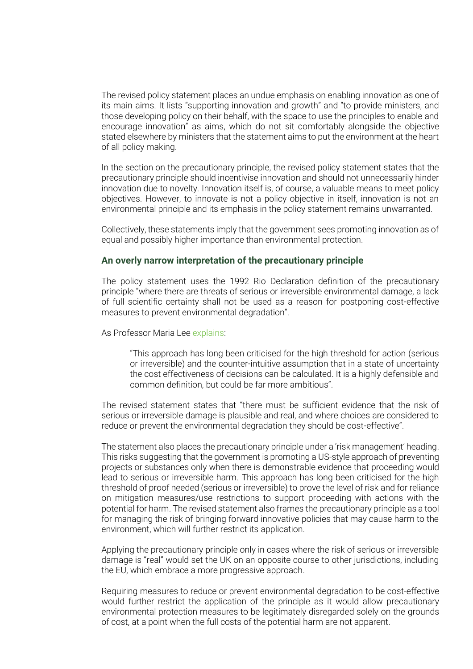The revised policy statement places an undue emphasis on enabling innovation as one of its main aims. It lists "supporting innovation and growth" and "to provide ministers, and those developing policy on their behalf, with the space to use the principles to enable and encourage innovation" as aims, which do not sit comfortably alongside the objective stated elsewhere by ministers that the statement aims to put the environment at the heart of all policy making.

In the section on the precautionary principle, the revised policy statement states that the precautionary principle should incentivise innovation and should not unnecessarily hinder innovation due to novelty. Innovation itself is, of course, a valuable means to meet policy objectives. However, to innovate is not a policy objective in itself, innovation is not an environmental principle and its emphasis in the policy statement remains unwarranted.

Collectively, these statements imply that the government sees promoting innovation as of equal and possibly higher importance than environmental protection.

#### **An overly narrow interpretation of the precautionary principle**

The policy statement uses the 1992 Rio Declaration definition of the precautionary principle "where there are threats of serious or irreversible environmental damage, a lack of full scientific certainty shall not be used as a reason for postponing cost-effective measures to prevent environmental degradation".

As Professor Maria Lee [explains:](https://papers.ssrn.com/sol3/papers.cfm?abstract_id=3827270)

"This approach has long been criticised for the high threshold for action (serious or irreversible) and the counter-intuitive assumption that in a state of uncertainty the cost effectiveness of decisions can be calculated. It is a highly defensible and common definition, but could be far more ambitious".

The revised statement states that "there must be sufficient evidence that the risk of serious or irreversible damage is plausible and real, and where choices are considered to reduce or prevent the environmental degradation they should be cost-effective".

The statement also places the precautionary principle under a 'risk management' heading. This risks suggesting that the government is promoting a US-style approach of preventing projects or substances only when there is demonstrable evidence that proceeding would lead to serious or irreversible harm. This approach has long been criticised for the high threshold of proof needed (serious or irreversible) to prove the level of risk and for reliance on mitigation measures/use restrictions to support proceeding with actions with the potential for harm. The revised statement also frames the precautionary principle as a tool for managing the risk of bringing forward innovative policies that may cause harm to the environment, which will further restrict its application.

Applying the precautionary principle only in cases where the risk of serious or irreversible damage is "real" would set the UK on an opposite course to other jurisdictions, including the EU, which embrace a more progressive approach.

Requiring measures to reduce or prevent environmental degradation to be cost-effective would further restrict the application of the principle as it would allow precautionary environmental protection measures to be legitimately disregarded solely on the grounds of cost, at a point when the full costs of the potential harm are not apparent.